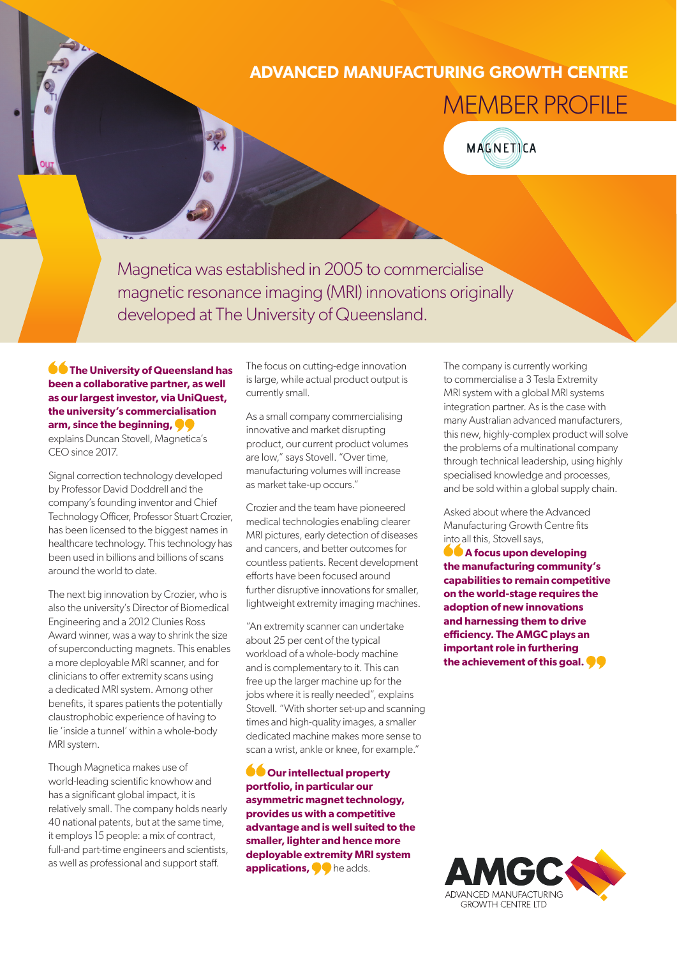## **ADVANCED MANUFACTURING GROWTH CENTRE**

MEMBER PROFILE

MAGNETICA

Magnetica was established in 2005 to commercialise magnetic resonance imaging (MRI) innovations originally developed at The University of Queensland.

**<sup>66</sup>** The University of Queensland has **been a collaborative partner, as well as our largest investor, via UniQuest, the university's commercialisation arm, since the beginning,**  explains Duncan Stovell, Magnetica's CEO since 2017.

Signal correction technology developed by Professor David Doddrell and the company's founding inventor and Chief Technology Officer, Professor Stuart Crozier, has been licensed to the biggest names in healthcare technology. This technology has been used in billions and billions of scans around the world to date.

The next big innovation by Crozier, who is also the university's Director of Biomedical Engineering and a 2012 Clunies Ross Award winner, was a way to shrink the size of superconducting magnets. This enables a more deployable MRI scanner, and for clinicians to offer extremity scans using a dedicated MRI system. Among other benefits, it spares patients the potentially claustrophobic experience of having to lie 'inside a tunnel' within a whole-body MRI system.

Though Magnetica makes use of world-leading scientific knowhow and has a significant global impact, it is relatively small. The company holds nearly 40 national patents, but at the same time, it employs 15 people: a mix of contract, full-and part-time engineers and scientists, as well as professional and support staff.

The focus on cutting-edge innovation is large, while actual product output is currently small.

As a small company commercialising innovative and market disrupting product, our current product volumes are low," says Stovell. "Over time, manufacturing volumes will increase as market take-up occurs."

Crozier and the team have pioneered medical technologies enabling clearer MRI pictures, early detection of diseases and cancers, and better outcomes for countless patients. Recent development efforts have been focused around further disruptive innovations for smaller, lightweight extremity imaging machines.

"An extremity scanner can undertake about 25 per cent of the typical workload of a whole-body machine and is complementary to it. This can free up the larger machine up for the jobs where it is really needed", explains Stovell. "With shorter set-up and scanning times and high-quality images, a smaller dedicated machine makes more sense to scan a wrist, ankle or knee, for example."

**OOur intellectual property portfolio, in particular our asymmetric magnet technology, provides us with a competitive advantage and is well suited to the smaller, lighter and hence more deployable extremity MRI system applications, O** he adds.

The company is currently working to commercialise a 3 Tesla Extremity MRI system with a global MRI systems integration partner. As is the case with many Australian advanced manufacturers, this new, highly-complex product will solve the problems of a multinational company through technical leadership, using highly specialised knowledge and processes, and be sold within a global supply chain.

Asked about where the Advanced Manufacturing Growth Centre fits into all this, Stovell says,

**A** focus upon developing **the manufacturing community's capabilities to remain competitive on the world-stage requires the adoption of new innovations and harnessing them to drive efficiency. The AMGC plays an important role in furthering the achievement of this goal.**